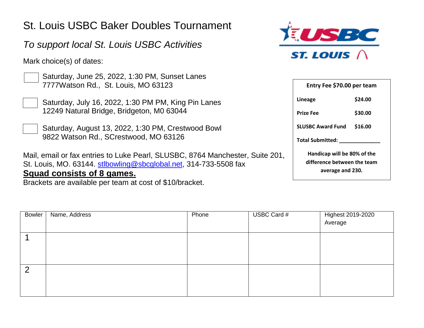## St. Louis USBC Baker Doubles Tournament

## *To support local St. Louis USBC Activities*

Mark choice(s) of dates:

Saturday, June 25, 2022, 1:30 PM, Sunset Lanes 7777Watson Rd., St. Louis, MO 63123

- Saturday, July 16, 2022, 1:30 PM PM, King Pin Lanes 12249 Natural Bridge, Bridgeton, M0 63044
- Saturday, August 13, 2022, 1:30 PM, Crestwood Bowl 9822 Watson Rd., SCrestwood, MO 63126

Mail, email or fax entries to Luke Pearl, SLUSBC, 8764 Manchester, Suite 201, St. Louis, MO. 63144. [stlbowling@sbcglobal.net,](mailto:stlbowling@sbcglobal.net) 314-733-5508 fax **Squad consists of 8 games.**

Brackets are available per team at cost of \$10/bracket.



| Entry Fee \$70.00 per team          |  |  |  |  |  |
|-------------------------------------|--|--|--|--|--|
| \$24.00                             |  |  |  |  |  |
| \$30.00                             |  |  |  |  |  |
| <b>SLUSBC Award Fund</b><br>\$16.00 |  |  |  |  |  |
| <b>Total Submitted:</b>             |  |  |  |  |  |
| Handicap will be 80% of the         |  |  |  |  |  |
| difference between the team         |  |  |  |  |  |
| average and 230.                    |  |  |  |  |  |
|                                     |  |  |  |  |  |

| <b>Bowler</b>  | Name, Address | Phone | USBC Card # | Highest 2019-2020<br>Average |
|----------------|---------------|-------|-------------|------------------------------|
|                |               |       |             |                              |
| $\overline{2}$ |               |       |             |                              |